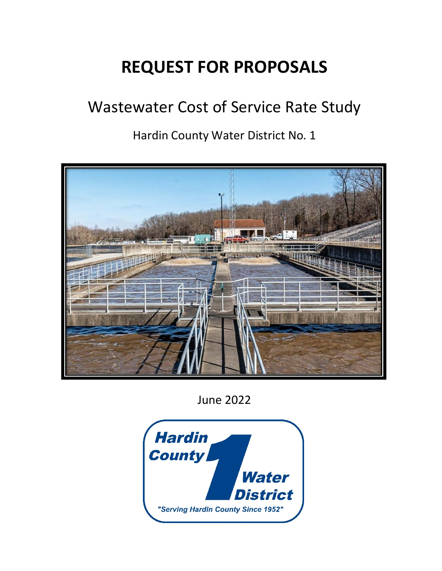# **REQUEST FOR PROPOSALS**

# Wastewater Cost of Service Rate Study

Hardin County Water District No. 1



June 2022

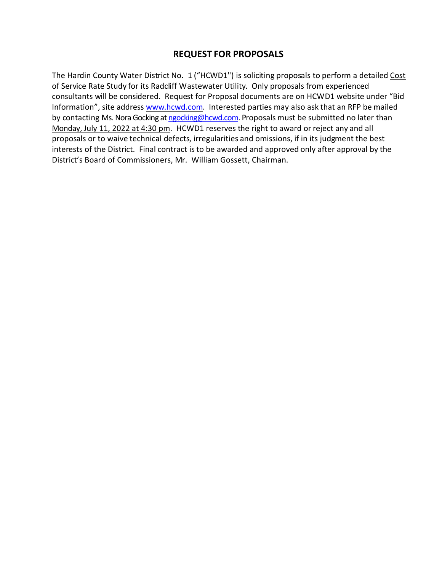## **REQUEST FOR PROPOSALS**

The Hardin County Water District No. 1 ("HCWD1") is soliciting proposals to perform a detailed Cost of Service Rate Study for its Radcliff Wastewater Utility. Only proposals from experienced consultants will be considered. Request for Proposal documents are on HCWD1 website under "Bid Information", site address www.hcwd.com. Interested parties may also ask that an RFP be mailed by contacting Ms. Nora Gocking at ngocking@hcwd.com. Proposals must be submitted no later than Monday, July 11, 2022 at 4:30 pm. HCWD1 reserves the right to award or reject any and all proposals or to waive technical defects, irregularities and omissions, if in its judgment the best interests of the District. Final contract is to be awarded and approved only after approval by the District's Board of Commissioners, Mr. William Gossett, Chairman.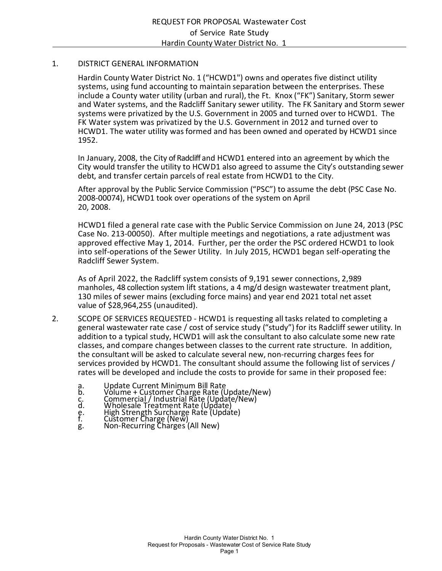#### 1. DISTRICT GENERAL INFORMATION

Hardin County Water District No. 1 ("HCWD1") owns and operates five distinct utility systems, using fund accounting to maintain separation between the enterprises. These include a County water utility (urban and rural), the Ft. Knox ("FK") Sanitary, Storm sewer and Water systems, and the Radcliff Sanitary sewer utility. The FK Sanitary and Storm sewer systems were privatized by the U.S. Government in 2005 and turned over to HCWD1. The FK Water system was privatized by the U.S. Government in 2012 and turned over to HCWD1. The water utility was formed and has been owned and operated by HCWD1 since 1952.

In January, 2008, the City of Radcliff and HCWD1 entered into an agreement by which the City would transfer the utility to HCWD1 also agreed to assume the City's outstanding sewer debt, and transfer certain parcels of real estate from HCWD1 to the City.

After approval by the Public Service Commission ("PSC") to assume the debt (PSC Case No. 2008-00074), HCWD1 took over operations of the system on April 20, 2008.

HCWD1 filed a general rate case with the Public Service Commission on June 24, 2013 (PSC Case No. 213‐00050). After multiple meetings and negotiations, a rate adjustment was approved effective May 1, 2014. Further, per the order the PSC ordered HCWD1 to look into self‐operations of the Sewer Utility. In July 2015, HCWD1 began self‐operating the Radcliff Sewer System.

As of April 2022, the Radcliff system consists of 9,191 sewer connections, 2,989 manholes, 48 collection system lift stations, a 4 mg/d design wastewater treatment plant, 130 miles of sewer mains (excluding force mains) and year end 2021 total net asset value of \$28,964,255 (unaudited).

- 2. SCOPE OF SERVICES REQUESTED HCWD1 is requesting all tasks related to completing a general wastewater rate case / cost of service study ("study") for its Radcliff sewer utility. In addition to a typical study, HCWD1 will ask the consultant to also calculate some new rate classes, and compare changes between classes to the current rate structure. In addition, the consultant will be asked to calculate several new, non‐recurring charges fees for services provided by HCWD1. The consultant should assume the following list of services / rates will be developed and include the costs to provide for same in their proposed fee:
	- a. Update Current Minimum Bill Rate
	- b. Volume + Customer Charge Rate (Update/New)
	- c. Commercial / Industrial Rate (Update/New)
	- d. Wholesale Treatment Rate (Update) e. High Strength Surcharge Rate (Update)
	- f. Customer Charge (New)
	- g. Non‐Recurring Charges (All New)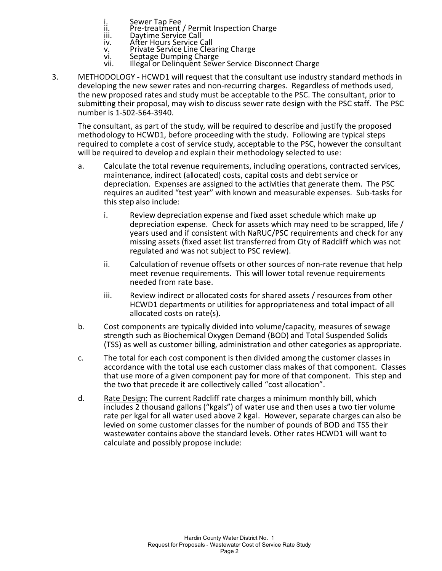- i. Sewer Tap Fee<br>ii. Pre-treatment
- ii. Pre-treatment / Permit Inspection Charge<br>iii. Pavtime Service Call
- iii. Daytime Service Call<br>iv. After Hours Service C
- iv. After Hours Service Call
- v. Private Service Line Clearing Charge
- vi. Septage Dumping Charge<br>vii. Illegal or Delinguent Sewe Illegal or Delinquent Sewer Service Disconnect Charge
- 3. METHODOLOGY ‐ HCWD1 will request that the consultant use industry standard methods in developing the new sewer rates and non‐recurring charges. Regardless of methods used, the new proposed rates and study must be acceptable to the PSC. The consultant, prior to submitting their proposal, may wish to discuss sewer rate design with the PSC staff. The PSC number is 1‐502‐564‐3940.

The consultant, as part of the study, will be required to describe and justify the proposed methodology to HCWD1, before proceeding with the study. Following are typical steps required to complete a cost of service study, acceptable to the PSC, however the consultant will be required to develop and explain their methodology selected to use:

- a. Calculate the total revenue requirements, including operations, contracted services, maintenance, indirect (allocated) costs, capital costs and debt service or depreciation. Expenses are assigned to the activities that generate them. The PSC requires an audited "test year" with known and measurable expenses. Sub‐tasks for this step also include:
	- i. Review depreciation expense and fixed asset schedule which make up depreciation expense. Check for assets which may need to be scrapped, life / years used and if consistent with NaRUC/PSC requirements and check for any missing assets (fixed asset list transferred from City of Radcliff which was not regulated and was not subject to PSC review).
	- ii. Calculation of revenue offsets or other sources of non-rate revenue that help meet revenue requirements. This will lower total revenue requirements needed from rate base.
	- iii. Review indirect or allocated costs for shared assets / resources from other HCWD1 departments or utilities for appropriateness and total impact of all allocated costs on rate(s).
- b. Cost components are typically divided into volume/capacity, measures of sewage strength such as Biochemical Oxygen Demand (BOD) and Total Suspended Solids (TSS) as well as customer billing, administration and other categories as appropriate.
- c. The total for each cost component is then divided among the customer classes in accordance with the total use each customer class makes of that component. Classes that use more of a given component pay for more of that component. This step and the two that precede it are collectively called "cost allocation".
- d. Rate Design: The current Radcliff rate charges a minimum monthly bill, which includes 2 thousand gallons ("kgals") of water use and then uses a two tier volume rate per kgal for all water used above 2 kgal. However, separate charges can also be levied on some customer classes for the number of pounds of BOD and TSS their wastewater contains above the standard levels. Other rates HCWD1 will want to calculate and possibly propose include: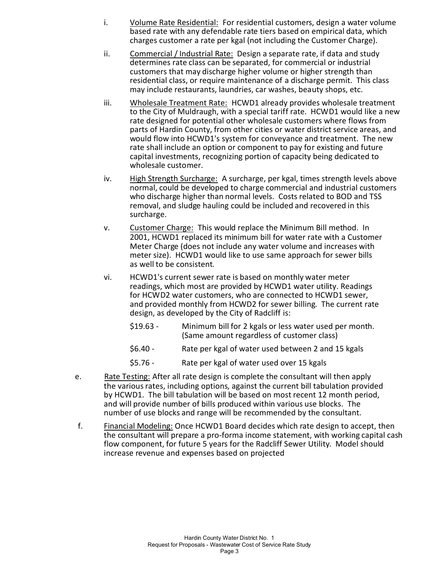- i. Volume Rate Residential: For residential customers, design a water volume based rate with any defendable rate tiers based on empirical data, which charges customer a rate per kgal (not including the Customer Charge).
- ii. Commercial / Industrial Rate: Design a separate rate, if data and study determines rate class can be separated, for commercial or industrial customers that may discharge higher volume or higher strength than residential class, or require maintenance of a discharge permit. This class may include restaurants, laundries, car washes, beauty shops, etc.
- iii. Wholesale Treatment Rate: HCWD1 already provides wholesale treatment to the City of Muldraugh, with a special tariff rate. HCWD1 would like a new rate designed for potential other wholesale customers where flows from parts of Hardin County, from other cities or water district service areas, and would flow into HCWD1's system for conveyance and treatment. The new rate shall include an option or component to pay for existing and future capital investments, recognizing portion of capacity being dedicated to wholesale customer.
- iv. High Strength Surcharge: A surcharge, per kgal, times strength levels above normal, could be developed to charge commercial and industrial customers who discharge higher than normal levels. Costs related to BOD and TSS removal, and sludge hauling could be included and recovered in this surcharge.
- v. Customer Charge: This would replace the Minimum Bill method. In 2001, HCWD1 replaced its minimum bill for water rate with a Customer Meter Charge (does not include any water volume and increases with meter size). HCWD1 would like to use same approach for sewer bills as well to be consistent.
- vi. HCWD1's current sewer rate is based on monthly water meter readings, which most are provided by HCWD1 water utility. Readings for HCWD2 water customers, who are connected to HCWD1 sewer, and provided monthly from HCWD2 for sewer billing. The current rate design, as developed by the City of Radcliff is:
	- \$19.63 ‐ Minimum bill for 2 kgals or less water used per month. (Same amount regardless of customer class)
	- \$6.40 ‐ Rate per kgal of water used between 2 and 15 kgals
	- \$5.76 ‐ Rate per kgal of water used over 15 kgals
- e. Rate Testing: After all rate design is complete the consultant will then apply the various rates, including options, against the current bill tabulation provided by HCWD1. The bill tabulation will be based on most recent 12 month period, and will provide number of bills produced within various use blocks. The number of use blocks and range will be recommended by the consultant.
- f. Financial Modeling: Once HCWD1 Board decides which rate design to accept, then the consultant will prepare a pro‐forma income statement, with working capital cash flow component, for future 5 years for the Radcliff Sewer Utility. Model should increase revenue and expenses based on projected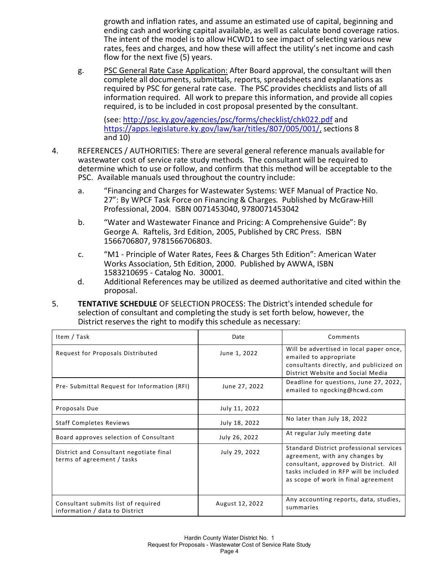growth and inflation rates, and assume an estimated use of capital, beginning and ending cash and working capital available, as well as calculate bond coverage ratios. The intent of the model is to allow HCWD1 to see impact of selecting various new rates, fees and charges, and how these will affect the utility's net income and cash flow for the next five (5) years.

g. PSC General Rate Case Application: After Board approval, the consultant will then complete all documents, submittals, reports, spreadsheets and explanations as required by PSC for general rate case. The PSC provides checklists and lists of all information required. All work to prepare this information, and provide all copies required, is to be included in cost proposal presented by the consultant.

(see: http://psc.ky.gov/agencies/psc/forms/checklist/chk022.pdf and https://apps.legislature.ky.gov/law/kar/titles/807/005/001/, sections 8 and 10)

- 4. REFERENCES / AUTHORITIES: There are several general reference manuals available for wastewater cost of service rate study methods. The consultant will be required to determine which to use or follow, and confirm that this method will be acceptable to the PSC. Available manuals used throughout the country include:
	- a. "Financing and Charges for Wastewater Systems: WEF Manual of Practice No. 27": By WPCF Task Force on Financing & Charges. Published by McGraw‐Hill Professional, 2004. ISBN 0071453040, 9780071453042
	- b. "Water and Wastewater Finance and Pricing: A Comprehensive Guide": By George A. Raftelis, 3rd Edition, 2005, Published by CRC Press. ISBN 1566706807, 9781566706803.
	- c. "M1 ‐ Principle of Water Rates, Fees & Charges 5th Edition": American Water Works Association, 5th Edition, 2000. Published by AWWA, ISBN 1583210695 ‐ Catalog No. 30001.
	- d. Additional References may be utilized as deemed authoritative and cited within the proposal.
- 5. **TENTATIVE SCHEDULE** OF SELECTION PROCESS: The District's intended schedule for selection of consultant and completing the study is set forth below, however, the District reserves the right to modify this schedule as necessary:

| Item / Task                                                           | Date            | Comments                                                                                                                                                                                            |
|-----------------------------------------------------------------------|-----------------|-----------------------------------------------------------------------------------------------------------------------------------------------------------------------------------------------------|
| Request for Proposals Distributed                                     | June 1, 2022    | Will be advertised in local paper once,<br>emailed to appropriate<br>consultants directly, and publicized on<br>District Website and Social Media                                                   |
| Pre- Submittal Request for Information (RFI)                          | June 27, 2022   | Deadline for questions, June 27, 2022,<br>emailed to ngocking@hcwd.com                                                                                                                              |
| Proposals Due                                                         | July 11, 2022   |                                                                                                                                                                                                     |
| <b>Staff Completes Reviews</b>                                        | July 18, 2022   | No later than July 18, 2022                                                                                                                                                                         |
| Board approves selection of Consultant                                | July 26, 2022   | At regular July meeting date                                                                                                                                                                        |
| District and Consultant negotiate final<br>terms of agreement / tasks | July 29, 2022   | Standard District professional services<br>agreement, with any changes by<br>consultant, approved by District. All<br>tasks included in RFP will be included<br>as scope of work in final agreement |
| Consultant submits list of required<br>information / data to District | August 12, 2022 | Any accounting reports, data, studies,<br>summaries                                                                                                                                                 |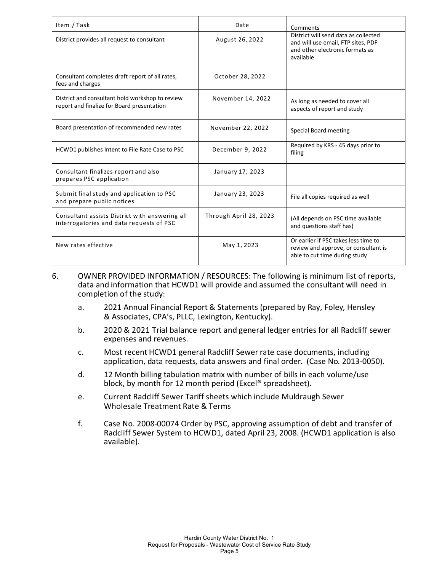| Item / Task                                                                                   | Date                   | Comments                                                                                                                   |
|-----------------------------------------------------------------------------------------------|------------------------|----------------------------------------------------------------------------------------------------------------------------|
| District provides all request to consultant                                                   | August 26, 2022        | District will send data as collected<br>and will use email, FTP sites, PDF<br>and other electronic formats as<br>available |
| Consultant completes draft report of all rates,<br>fees and charges                           | October 28, 2022       |                                                                                                                            |
| District and consultant hold workshop to review<br>report and finalize for Board presentation | November 14, 2022      | As long as needed to cover all<br>aspects of report and study                                                              |
| Board presentation of recommended new rates                                                   | November 22, 2022      | Special Board meeting                                                                                                      |
| HCWD1 publishes Intent to File Rate Case to PSC                                               | December 9, 2022       | Required by KRS - 45 days prior to<br>filing                                                                               |
| Consultant finalizes report and also<br>prepares PSC application                              | January 17, 2023       |                                                                                                                            |
| Submit final study and application to PSC<br>and prepare public notices                       | January 23, 2023       | File all copies required as well                                                                                           |
| Consultant assists District with answering all<br>interrogatories and data requests of PSC    | Through April 28, 2023 | (All depends on PSC time available<br>and questions staff has)                                                             |
| New rates effective                                                                           | May 1, 2023            | Or earlier if PSC takes less time to<br>review and approve, or consultant is<br>able to cut time during study              |

- 6. OWNER PROVIDED INFORMATION / RESOURCES: The following is minimum list of reports, data and information that HCWD1 will provide and assumed the consultant will need in completion of the study:
	- a. 2021 Annual Financial Report & Statements (prepared by Ray, Foley, Hensley & Associates, CPA's, PLLC, Lexington, Kentucky).
	- b. 2020 & 2021 Trial balance report and general ledger entries for all Radcliff sewer expenses and revenues.
	- c. Most recent HCWD1 general Radcliff Sewer rate case documents, including application, data requests, data answers and final order. (Case No. 2013‐0050).
	- d. 12 Month billing tabulation matrix with number of bills in each volume/use block, by month for 12 month period (Excel® spreadsheet).
	- e. Current Radcliff Sewer Tariff sheets which include Muldraugh Sewer Wholesale Treatment Rate & Terms
	- f. Case No. 2008‐00074 Order by PSC, approving assumption of debt and transfer of Radcliff Sewer System to HCWD1, dated April 23, 2008. (HCWD1 application is also available).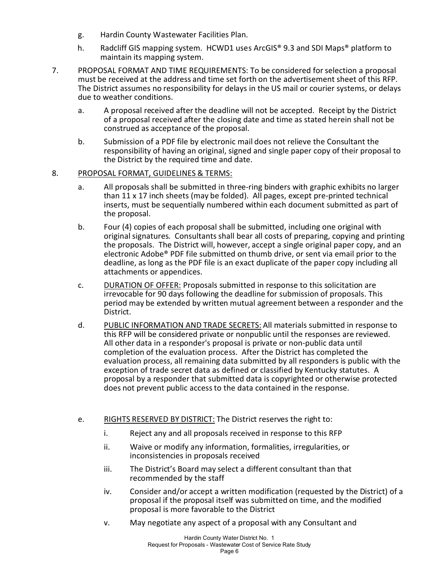- g. Hardin County Wastewater Facilities Plan.
- h. Radcliff GIS mapping system. HCWD1 uses ArcGIS® 9.3 and SDI Maps® platform to maintain its mapping system.
- 7. PROPOSAL FORMAT AND TIME REQUIREMENTS: To be considered for selection a proposal must be received at the address and time set forth on the advertisement sheet of this RFP. The District assumes no responsibility for delays in the US mail or courier systems, or delays due to weather conditions.
	- a. A proposal received after the deadline will not be accepted. Receipt by the District of a proposal received after the closing date and time as stated herein shall not be construed as acceptance of the proposal.
	- b. Submission of a PDF file by electronic mail does not relieve the Consultant the responsibility of having an original, signed and single paper copy of their proposal to the District by the required time and date.

#### 8. PROPOSAL FORMAT, GUIDELINES & TERMS:

- a. All proposals shall be submitted in three-ring binders with graphic exhibits no larger than 11 x 17 inch sheets (may be folded). All pages, except pre‐printed technical inserts, must be sequentially numbered within each document submitted as part of the proposal.
- b. Four (4) copies of each proposal shall be submitted, including one original with original signatures. Consultants shall bear all costs of preparing, copying and printing the proposals. The District will, however, accept a single original paper copy, and an electronic Adobe® PDF file submitted on thumb drive, or sent via email prior to the deadline, as long as the PDF file is an exact duplicate of the paper copy including all attachments or appendices.
- c. DURATION OF OFFER: Proposals submitted in response to this solicitation are irrevocable for 90 days following the deadline for submission of proposals. This period may be extended by written mutual agreement between a responder and the District.
- d. PUBLIC INFORMATION AND TRADE SECRETS: All materials submitted in response to this RFP will be considered private or nonpublic until the responses are reviewed. All other data in a responder's proposal is private or non‐public data until completion of the evaluation process. After the District has completed the evaluation process, all remaining data submitted by all responders is public with the exception of trade secret data as defined or classified by Kentucky statutes. A proposal by a responder that submitted data is copyrighted or otherwise protected does not prevent public access to the data contained in the response.
- e. RIGHTS RESERVED BY DISTRICT: The District reserves the right to:
	- i. Reject any and all proposals received in response to this RFP
	- ii. Waive or modify any information, formalities, irregularities, or inconsistencies in proposals received
	- iii. The District's Board may select a different consultant than that recommended by the staff
	- iv. Consider and/or accept a written modification (requested by the District) of a proposal if the proposal itself was submitted on time, and the modified proposal is more favorable to the District
	- v. May negotiate any aspect of a proposal with any Consultant and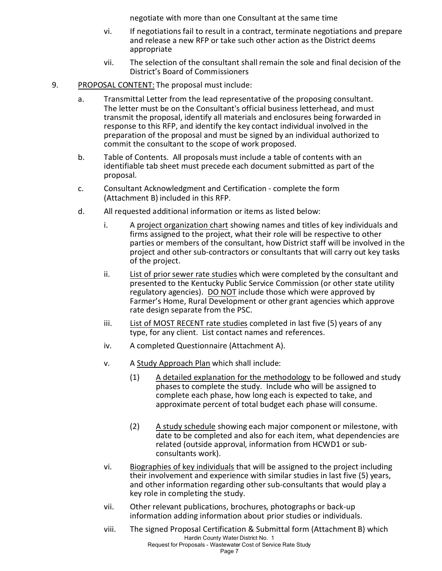negotiate with more than one Consultant at the same time

- vi. If negotiations fail to result in a contract, terminate negotiations and prepare and release a new RFP or take such other action as the District deems appropriate
- vii. The selection of the consultant shall remain the sole and final decision of the District's Board of Commissioners
- 9. PROPOSAL CONTENT: The proposal must include:
	- a. Transmittal Letter from the lead representative of the proposing consultant. The letter must be on the Consultant's official business letterhead, and must transmit the proposal, identify all materials and enclosures being forwarded in response to this RFP, and identify the key contact individual involved in the preparation of the proposal and must be signed by an individual authorized to commit the consultant to the scope of work proposed.
	- b. Table of Contents. All proposals must include a table of contents with an identifiable tab sheet must precede each document submitted as part of the proposal.
	- c. Consultant Acknowledgment and Certification ‐ complete the form (Attachment B) included in this RFP.
	- d. All requested additional information or items as listed below:
		- i. A project organization chart showing names and titles of key individuals and firms assigned to the project, what their role will be respective to other parties or members of the consultant, how District staff will be involved in the project and other sub‐contractors or consultants that will carry out key tasks of the project.
		- ii. List of prior sewer rate studies which were completed by the consultant and presented to the Kentucky Public Service Commission (or other state utility regulatory agencies). DO NOT include those which were approved by Farmer's Home, Rural Development or other grant agencies which approve rate design separate from the PSC.
		- iii. List of MOST RECENT rate studies completed in last five (5) years of any type, for any client. List contact names and references.
		- iv. A completed Questionnaire (Attachment A).
		- v. A Study Approach Plan which shall include:
			- (1) A detailed explanation for the methodology to be followed and study phases to complete the study. Include who will be assigned to complete each phase, how long each is expected to take, and approximate percent of total budget each phase will consume.
			- (2) A study schedule showing each major component or milestone, with date to be completed and also for each item, what dependencies are related (outside approval, information from HCWD1 or sub‐ consultants work).
		- vi. Biographies of key individuals that will be assigned to the project including their involvement and experience with similar studies in last five (5) years, and other information regarding other sub‐consultants that would play a key role in completing the study.
		- vii. Other relevant publications, brochures, photographs or back‐up information adding information about prior studies or individuals.
		- Hardin County Water District No. 1 Request for Proposals - Wastewater Cost of Service Rate Study viii. The signed Proposal Certification & Submittal form (Attachment B) which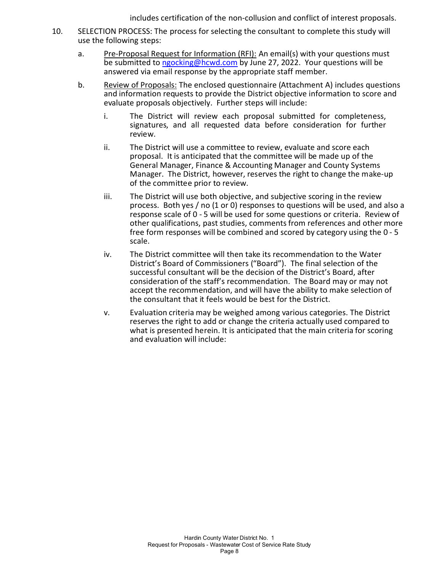includes certification of the non-collusion and conflict of interest proposals.

- 10. SELECTION PROCESS: The process for selecting the consultant to complete this study will use the following steps:
	- a. Pre‐Proposal Request for Information (RFI): An email(s) with your questions must be submitted to ngocking@hcwd.com by June 27, 2022. Your questions will be answered via email response by the appropriate staff member.
	- b. Review of Proposals: The enclosed questionnaire (Attachment A) includes questions and information requests to provide the District objective information to score and evaluate proposals objectively. Further steps will include:
		- i. The District will review each proposal submitted for completeness, signatures, and all requested data before consideration for further review.
		- ii. The District will use a committee to review, evaluate and score each proposal. It is anticipated that the committee will be made up of the General Manager, Finance & Accounting Manager and County Systems Manager. The District, however, reserves the right to change the make‐up of the committee prior to review.
		- iii. The District will use both objective, and subjective scoring in the review process. Both yes / no (1 or 0) responses to questions will be used, and also a response scale of 0 ‐ 5 will be used for some questions or criteria. Review of other qualifications, past studies, comments from references and other more free form responses will be combined and scored by category using the 0 ‐ 5 scale.
		- iv. The District committee will then take its recommendation to the Water District's Board of Commissioners ("Board"). The final selection of the successful consultant will be the decision of the District's Board, after consideration of the staff's recommendation. The Board may or may not accept the recommendation, and will have the ability to make selection of the consultant that it feels would be best for the District.
		- v. Evaluation criteria may be weighed among various categories. The District reserves the right to add or change the criteria actually used compared to what is presented herein. It is anticipated that the main criteria for scoring and evaluation will include: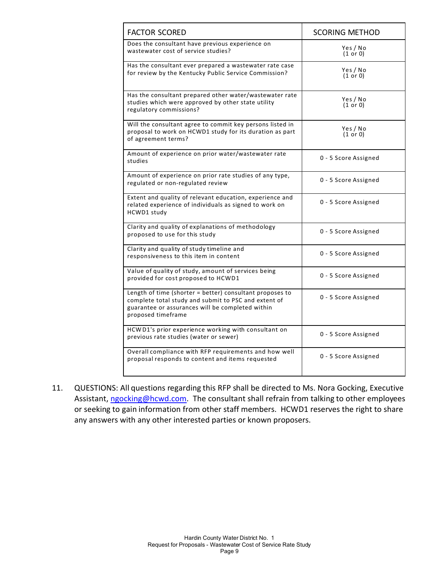| <b>FACTOR SCORED</b>                                                                                                                                                                       | <b>SCORING METHOD</b> |
|--------------------------------------------------------------------------------------------------------------------------------------------------------------------------------------------|-----------------------|
| Does the consultant have previous experience on<br>wastewater cost of service studies?                                                                                                     | Yes / No<br>(1 or 0)  |
| Has the consultant ever prepared a wastewater rate case<br>for review by the Kentucky Public Service Commission?                                                                           | Yes / No<br>(1 or 0)  |
| Has the consultant prepared other water/wastewater rate<br>studies which were approved by other state utility<br>regulatory commissions?                                                   | Yes / No<br>(1 or 0)  |
| Will the consultant agree to commit key persons listed in<br>proposal to work on HCWD1 study for its duration as part<br>of agreement terms?                                               | Yes / No<br>(1 or 0)  |
| Amount of experience on prior water/wastewater rate<br>studies                                                                                                                             | 0 - 5 Score Assigned  |
| Amount of experience on prior rate studies of any type,<br>regulated or non-regulated review                                                                                               | 0 - 5 Score Assigned  |
| Extent and quality of relevant education, experience and<br>related experience of individuals as signed to work on<br>HCWD1 study                                                          | 0 - 5 Score Assigned  |
| Clarity and quality of explanations of methodology<br>proposed to use for this study                                                                                                       | 0 - 5 Score Assigned  |
| Clarity and quality of study timeline and<br>responsiveness to this item in content                                                                                                        | 0 - 5 Score Assigned  |
| Value of quality of study, amount of services being<br>provided for cost proposed to HCWD1                                                                                                 | 0 - 5 Score Assigned  |
| Length of time (shorter = better) consultant proposes to<br>complete total study and submit to PSC and extent of<br>guarantee or assurances will be completed within<br>proposed timeframe | 0 - 5 Score Assigned  |
| HCWD1's prior experience working with consultant on<br>previous rate studies (water or sewer)                                                                                              | 0 - 5 Score Assigned  |
| Overall compliance with RFP requirements and how well<br>proposal responds to content and items requested                                                                                  | 0 - 5 Score Assigned  |

11. QUESTIONS: All questions regarding this RFP shall be directed to Ms. Nora Gocking, Executive Assistant, ngocking@hcwd.com. The consultant shall refrain from talking to other employees or seeking to gain information from other staff members. HCWD1 reserves the right to share any answers with any other interested parties or known proposers.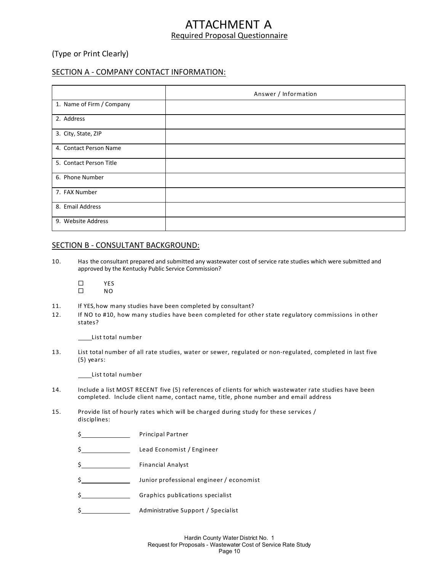## TACHMENT A Required Proposal Questionnaire

(Type or Print Clearly)

#### SECTION A ‐ COMPANY CONTACT INFORMATION:

|                           | Answer / Information |  |
|---------------------------|----------------------|--|
| 1. Name of Firm / Company |                      |  |
| 2. Address                |                      |  |
| 3. City, State, ZIP       |                      |  |
| 4. Contact Person Name    |                      |  |
| 5. Contact Person Title   |                      |  |
| 6. Phone Number           |                      |  |
| 7. FAX Number             |                      |  |
| 8. Email Address          |                      |  |
| 9. Website Address        |                      |  |

#### SECTION B - CONSULTANT BACKGROUND:

- 10. Has the consultant prepared and submitted any wastewater cost of service rate studies which were submitted and approved by the Kentucky Public Service Commission?
	- $\begin{array}{ccc}\n\square & & & \text{YES} \\
	\square & & \text{NO}\n\end{array}$ NO
- 11. If YES, how many studies have been completed by consultant?
- 12. If NO to #10, how many studies have been completed for other state regulatory commissions in other states?

List total number

13. List total number of all rate studies, water or sewer, regulated or non-regulated, completed in last five (5) years:

List total number

- 14. Include a list MOST RECENT five (5) references of clients for which wastewater rate studies have been completed. Include client name, contact name, title, phone number and email address
- 15. Provide list of hourly rates which will be charged during study for these services / disciplines:
	- \$ Principal Partner
	- \$ Lead Economist / Engineer
	- \$ Financial Analyst
	- \$ Junior professional engineer / economist
	- \$ S\_\_\_\_\_\_\_\_\_\_\_\_\_\_\_\_\_\_\_\_\_Graphics publications specialist
	- \$ Administrative Support / Specialist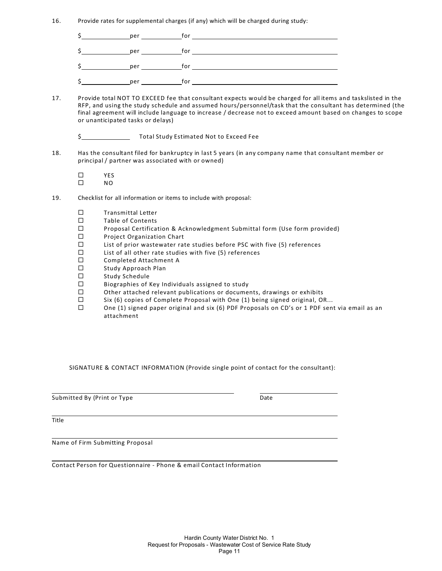16. Provide rates for supplemental charges (if any) which will be charged during study:

|   | per | for |
|---|-----|-----|
|   | per | for |
| ∽ | per | for |
| ∽ | per | for |

- 17. Provide total NOT TO EXCEED fee that consultant expects would be charged for all items and taskslisted in the RFP, and using the study schedule and assumed hours/personnel/task that the consultant has determined (the final agreement will include language to increase / decrease not to exceed amount based on changes to scope or unanticipated tasks or delays)
	- \$
- 18. Has the consultant filed for bankruptcy in last 5 years (in any company name that consultant member or principal / partner was associated with or owned)

 $\begin{array}{ccc}\n\square & & & \text{YES} \\
\square & & \text{NO}\n\end{array}$ NO

- 19. Checklist for all information or items to include with proposal:
	- $\square$  Transmittal Letter
	- $\square$  Table of Contents
	- □ Proposal Certification & Acknowledgment Submittal form (Use form provided)
	- □ Project Organization Chart
	- $□$  List of prior wastewater rate studies before PSC with five (5) references  $□$  List of all other rate studies with five (5) references
	- List of all other rate studies with five (5) references
	- □ Completed Attachment A
	- $\square$  Study Approach Plan
	- □ Study Schedule
	- $\square$  Biographies of Key Individuals assigned to study
	- $\square$  Other attached relevant publications or documents, drawings or exhibits  $\square$  Six (6) copies of Complete Proposal with One (1) being signed original. OF
	- Six (6) copies of Complete Proposal with One (1) being signed original, OR...
	- $\square$  One (1) signed paper original and six (6) PDF Proposals on CD's or 1 PDF sent via email as an attachment

SIGNATURE & CONTACT INFORMATION (Provide single point of contact for the consultant):

Submitted By (Print or Type Date of Date of Date of Date of Date of Date of Date of Date of Date of Date of Date of Date of Date of Date of Date of Date of Date of Date of Date of Date of Date of Date of Date of Date of Da

**Title** 

Name of Firm Submitting Proposal

Contact Person for Questionnaire ‐ Phone & email Contact Information